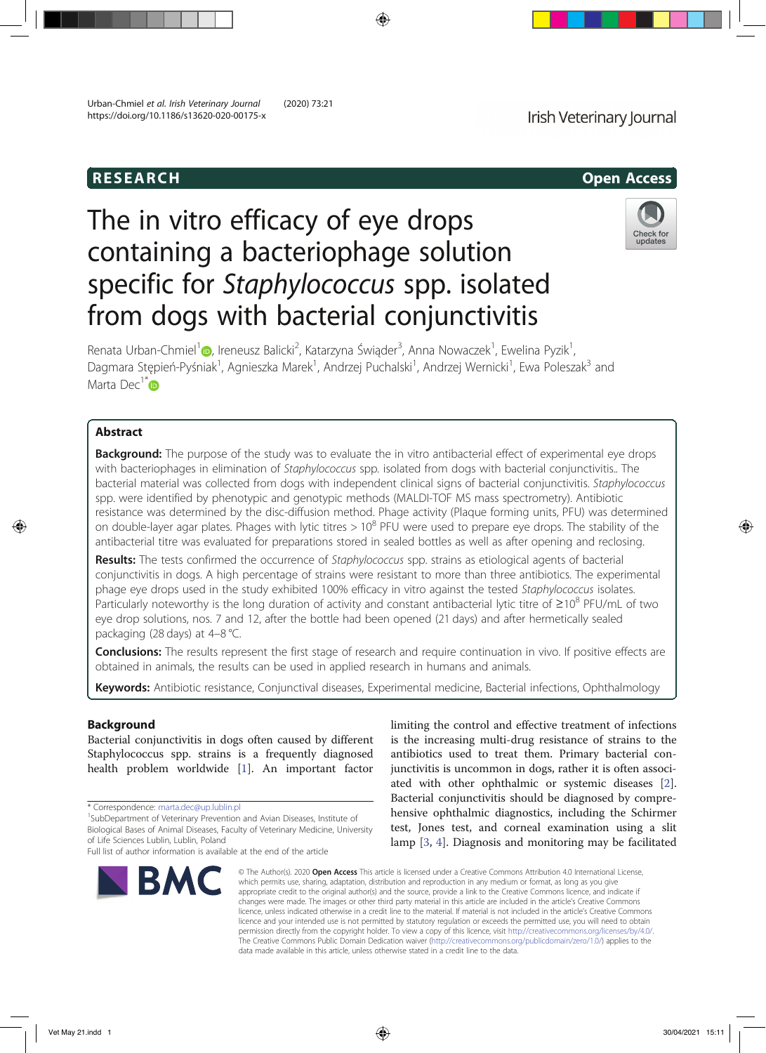Irish Veterinary Journal

RESEARCH Open Access

# The in vitro efficacy of eye drops containing a bacteriophage solution specific for Staphylococcus spp. isolated from dogs with bacterial conjunctivitis



Renata Urban-Chmiel<sup>1</sup> (b, Ireneusz Balicki<sup>2</sup>, Katarzyna Świąder<sup>3</sup>, Anna Nowaczek<sup>1</sup>, Ewelina Pyzik<sup>1</sup> , Dagmara Stępień-Pyśniak<sup>1</sup>, Agnieszka Marek<sup>1</sup>, Andrzej Puchalski<sup>1</sup>, Andrzej Wernicki<sup>1</sup>, Ewa Poleszak<sup>3</sup> and Marta Dec $1^*$ 

### Abstract

**Background:** The purpose of the study was to evaluate the in vitro antibacterial effect of experimental eye drops with bacteriophages in elimination of *Staphylococcus* spp. isolated from dogs with bacterial conjunctivitis.. The bacterial material was collected from dogs with independent clinical signs of bacterial conjunctivitis. Staphylococcus spp. were identified by phenotypic and genotypic methods (MALDI-TOF MS mass spectrometry). Antibiotic resistance was determined by the disc-diffusion method. Phage activity (Plaque forming units, PFU) was determined on double-layer agar plates. Phages with lytic titres  $> 10^8$  PFU were used to prepare eye drops. The stability of the antibacterial titre was evaluated for preparations stored in sealed bottles as well as after opening and reclosing.

Results: The tests confirmed the occurrence of Staphylococcus spp. strains as etiological agents of bacterial conjunctivitis in dogs. A high percentage of strains were resistant to more than three antibiotics. The experimental phage eye drops used in the study exhibited 100% efficacy in vitro against the tested Staphylococcus isolates. Particularly noteworthy is the long duration of activity and constant antibacterial lytic titre of  $\geq 10^8$  PFU/mL of two eye drop solutions, nos. 7 and 12, after the bottle had been opened (21 days) and after hermetically sealed packaging (28 days) at 4–8 °C.

**Conclusions:** The results represent the first stage of research and require continuation in vivo. If positive effects are obtained in animals, the results can be used in applied research in humans and animals.

Keywords: Antibiotic resistance, Conjunctival diseases, Experimental medicine, Bacterial infections, Ophthalmology

#### Background

Bacterial conjunctivitis in dogs often caused by different Staphylococcus spp. strains is a frequently diagnosed health problem worldwide [1]. An important factor

\* Correspondence: marta.dec@up.lublin.pl <sup>1</sup>

<sup>1</sup>SubDepartment of Veterinary Prevention and Avian Diseases, Institute of Biological Bases of Animal Diseases, Faculty of Veterinary Medicine, University of Life Sciences Lublin, Lublin, Poland

Full list of author information is available at the end of the article



limiting the control and effective treatment of infections is the increasing multi-drug resistance of strains to the antibiotics used to treat them. Primary bacterial conjunctivitis is uncommon in dogs, rather it is often associated with other ophthalmic or systemic diseases [2]. Bacterial conjunctivitis should be diagnosed by comprehensive ophthalmic diagnostics, including the Schirmer test, Jones test, and corneal examination using a slit lamp [3, 4]. Diagnosis and monitoring may be facilitated

© The Author(s). 2020 Open Access This article is licensed under a Creative Commons Attribution 4.0 International License, which permits use, sharing, adaptation, distribution and reproduction in any medium or format, as long as you give appropriate credit to the original author(s) and the source, provide a link to the Creative Commons licence, and indicate if changes were made. The images or other third party material in this article are included in the article's Creative Commons licence, unless indicated otherwise in a credit line to the material. If material is not included in the article's Creative Commons licence and your intended use is not permitted by statutory regulation or exceeds the permitted use, you will need to obtain permission directly from the copyright holder. To view a copy of this licence, visit http://creativecommons.org/licenses/by/4.0/. The Creative Commons Public Domain Dedication waiver (http://creativecommons.org/publicdomain/zero/1.0/) applies to the data made available in this article, unless otherwise stated in a credit line to the data.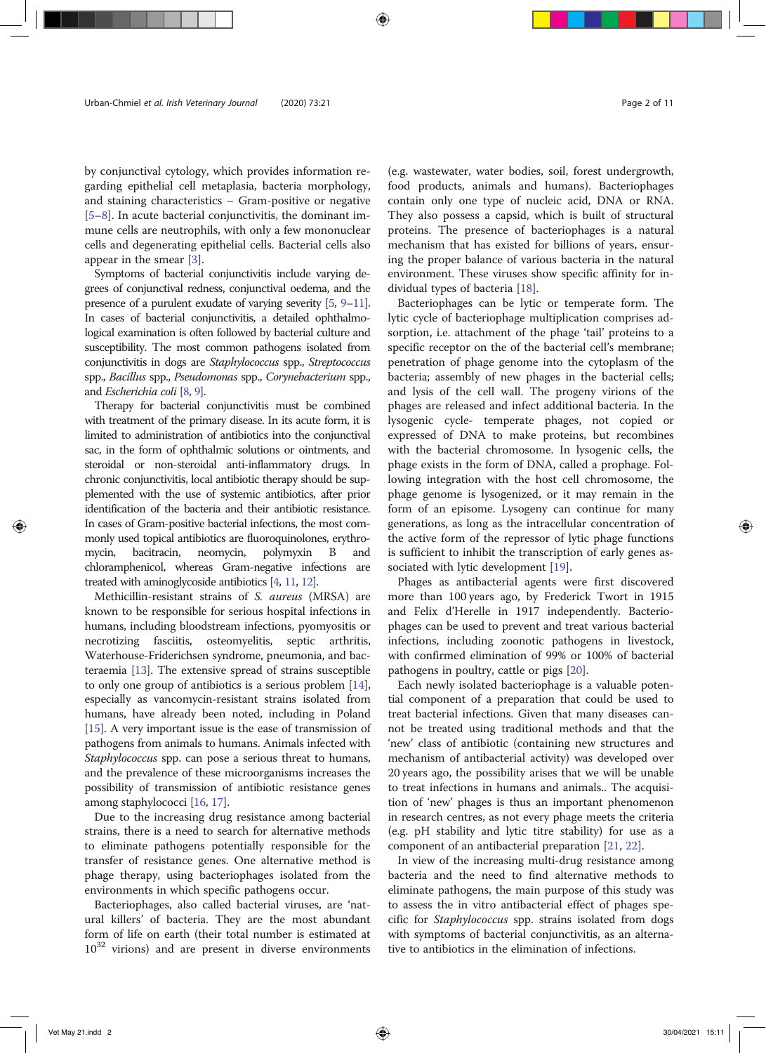by conjunctival cytology, which provides information regarding epithelial cell metaplasia, bacteria morphology, and staining characteristics – Gram-positive or negative [5–8]. In acute bacterial conjunctivitis, the dominant immune cells are neutrophils, with only a few mononuclear cells and degenerating epithelial cells. Bacterial cells also appear in the smear [3].

Symptoms of bacterial conjunctivitis include varying degrees of conjunctival redness, conjunctival oedema, and the presence of a purulent exudate of varying severity [5, 9–11]. In cases of bacterial conjunctivitis, a detailed ophthalmological examination is often followed by bacterial culture and susceptibility. The most common pathogens isolated from conjunctivitis in dogs are Staphylococcus spp., Streptococcus spp., Bacillus spp., Pseudomonas spp., Corynebacterium spp., and Escherichia coli [8, 9].

Therapy for bacterial conjunctivitis must be combined with treatment of the primary disease. In its acute form, it is limited to administration of antibiotics into the conjunctival sac, in the form of ophthalmic solutions or ointments, and steroidal or non-steroidal anti-inflammatory drugs. In chronic conjunctivitis, local antibiotic therapy should be supplemented with the use of systemic antibiotics, after prior identification of the bacteria and their antibiotic resistance. In cases of Gram-positive bacterial infections, the most commonly used topical antibiotics are fluoroquinolones, erythromycin, bacitracin, neomycin, polymyxin B and chloramphenicol, whereas Gram-negative infections are treated with aminoglycoside antibiotics [4, 11, 12].

Methicillin-resistant strains of S. aureus (MRSA) are known to be responsible for serious hospital infections in humans, including bloodstream infections, pyomyositis or necrotizing fasciitis, osteomyelitis, septic arthritis, Waterhouse-Friderichsen syndrome, pneumonia, and bacteraemia [13]. The extensive spread of strains susceptible to only one group of antibiotics is a serious problem [14], especially as vancomycin-resistant strains isolated from humans, have already been noted, including in Poland [15]. A very important issue is the ease of transmission of pathogens from animals to humans. Animals infected with Staphylococcus spp. can pose a serious threat to humans, and the prevalence of these microorganisms increases the possibility of transmission of antibiotic resistance genes among staphylococci [16, 17].

Due to the increasing drug resistance among bacterial strains, there is a need to search for alternative methods to eliminate pathogens potentially responsible for the transfer of resistance genes. One alternative method is phage therapy, using bacteriophages isolated from the environments in which specific pathogens occur.

Bacteriophages, also called bacterial viruses, are 'natural killers' of bacteria. They are the most abundant form of life on earth (their total number is estimated at  $10^{32}$  virions) and are present in diverse environments (e.g. wastewater, water bodies, soil, forest undergrowth, food products, animals and humans). Bacteriophages contain only one type of nucleic acid, DNA or RNA. They also possess a capsid, which is built of structural proteins. The presence of bacteriophages is a natural mechanism that has existed for billions of years, ensuring the proper balance of various bacteria in the natural environment. These viruses show specific affinity for individual types of bacteria [18].

Bacteriophages can be lytic or temperate form. The lytic cycle of bacteriophage multiplication comprises adsorption, i.e. attachment of the phage 'tail' proteins to a specific receptor on the of the bacterial cell's membrane; penetration of phage genome into the cytoplasm of the bacteria; assembly of new phages in the bacterial cells; and lysis of the cell wall. The progeny virions of the phages are released and infect additional bacteria. In the lysogenic cycle- temperate phages, not copied or expressed of DNA to make proteins, but recombines with the bacterial chromosome. In lysogenic cells, the phage exists in the form of DNA, called a prophage. Following integration with the host cell chromosome, the phage genome is lysogenized, or it may remain in the form of an episome. Lysogeny can continue for many generations, as long as the intracellular concentration of the active form of the repressor of lytic phage functions is sufficient to inhibit the transcription of early genes associated with lytic development [19].

Phages as antibacterial agents were first discovered more than 100 years ago, by Frederick Twort in 1915 and Felix d'Herelle in 1917 independently. Bacteriophages can be used to prevent and treat various bacterial infections, including zoonotic pathogens in livestock, with confirmed elimination of 99% or 100% of bacterial pathogens in poultry, cattle or pigs [20].

Each newly isolated bacteriophage is a valuable potential component of a preparation that could be used to treat bacterial infections. Given that many diseases cannot be treated using traditional methods and that the 'new' class of antibiotic (containing new structures and mechanism of antibacterial activity) was developed over 20 years ago, the possibility arises that we will be unable to treat infections in humans and animals.. The acquisition of 'new' phages is thus an important phenomenon in research centres, as not every phage meets the criteria (e.g. pH stability and lytic titre stability) for use as a component of an antibacterial preparation [21, 22].

In view of the increasing multi-drug resistance among bacteria and the need to find alternative methods to eliminate pathogens, the main purpose of this study was to assess the in vitro antibacterial effect of phages specific for Staphylococcus spp. strains isolated from dogs with symptoms of bacterial conjunctivitis, as an alternative to antibiotics in the elimination of infections.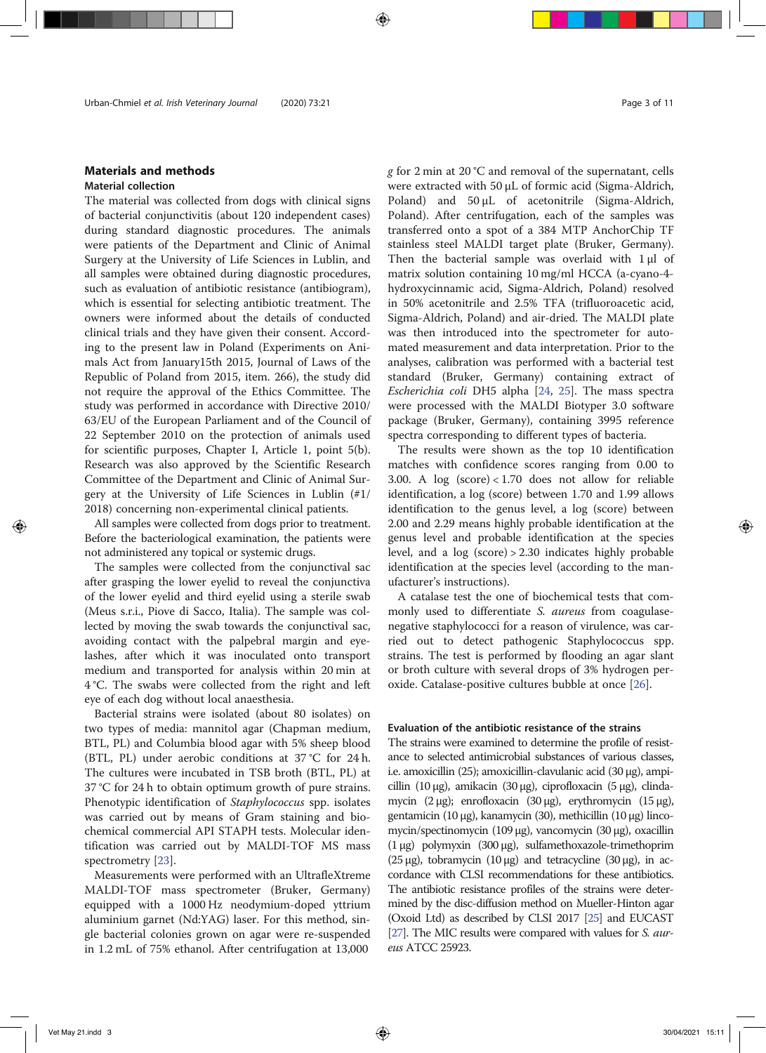## Materials and methods

## Material collection

The material was collected from dogs with clinical signs of bacterial conjunctivitis (about 120 independent cases) during standard diagnostic procedures. The animals were patients of the Department and Clinic of Animal Surgery at the University of Life Sciences in Lublin, and all samples were obtained during diagnostic procedures, such as evaluation of antibiotic resistance (antibiogram), which is essential for selecting antibiotic treatment. The owners were informed about the details of conducted clinical trials and they have given their consent. According to the present law in Poland (Experiments on Animals Act from January15th 2015, Journal of Laws of the Republic of Poland from 2015, item. 266), the study did not require the approval of the Ethics Committee. The study was performed in accordance with Directive 2010/ 63/EU of the European Parliament and of the Council of 22 September 2010 on the protection of animals used for scientific purposes, Chapter I, Article 1, point 5(b). Research was also approved by the Scientific Research Committee of the Department and Clinic of Animal Surgery at the University of Life Sciences in Lublin (#1/ 2018) concerning non-experimental clinical patients.

All samples were collected from dogs prior to treatment. Before the bacteriological examination, the patients were not administered any topical or systemic drugs.

The samples were collected from the conjunctival sac after grasping the lower eyelid to reveal the conjunctiva of the lower eyelid and third eyelid using a sterile swab (Meus s.r.i., Piove di Sacco, Italia). The sample was collected by moving the swab towards the conjunctival sac, avoiding contact with the palpebral margin and eyelashes, after which it was inoculated onto transport medium and transported for analysis within 20 min at 4 °C. The swabs were collected from the right and left eye of each dog without local anaesthesia.

Bacterial strains were isolated (about 80 isolates) on two types of media: mannitol agar (Chapman medium, BTL, PL) and Columbia blood agar with 5% sheep blood (BTL, PL) under aerobic conditions at 37 °C for 24 h. The cultures were incubated in TSB broth (BTL, PL) at 37 °C for 24 h to obtain optimum growth of pure strains. Phenotypic identification of *Staphylococcus* spp. isolates was carried out by means of Gram staining and biochemical commercial API STAPH tests. Molecular identification was carried out by MALDI-TOF MS mass spectrometry [23].

Measurements were performed with an UltrafleXtreme MALDI-TOF mass spectrometer (Bruker, Germany) equipped with a 1000 Hz neodymium-doped yttrium aluminium garnet (Nd:YAG) laser. For this method, single bacterial colonies grown on agar were re-suspended in 1.2 mL of 75% ethanol. After centrifugation at 13,000

g for 2 min at 20 °C and removal of the supernatant, cells were extracted with 50 μL of formic acid (Sigma-Aldrich, Poland) and 50 μL of acetonitrile (Sigma-Aldrich, Poland). After centrifugation, each of the samples was transferred onto a spot of a 384 MTP AnchorChip TF stainless steel MALDI target plate (Bruker, Germany). Then the bacterial sample was overlaid with 1 μl of matrix solution containing 10 mg/ml HCCA (a-cyano-4 hydroxycinnamic acid, Sigma-Aldrich, Poland) resolved in 50% acetonitrile and 2.5% TFA (trifluoroacetic acid, Sigma-Aldrich, Poland) and air-dried. The MALDI plate was then introduced into the spectrometer for automated measurement and data interpretation. Prior to the analyses, calibration was performed with a bacterial test standard (Bruker, Germany) containing extract of Escherichia coli DH5 alpha [24, 25]. The mass spectra were processed with the MALDI Biotyper 3.0 software package (Bruker, Germany), containing 3995 reference spectra corresponding to different types of bacteria.

The results were shown as the top 10 identification matches with confidence scores ranging from 0.00 to 3.00. A log  $(score) < 1.70$  does not allow for reliable identification, a log (score) between 1.70 and 1.99 allows identification to the genus level, a log (score) between 2.00 and 2.29 means highly probable identification at the genus level and probable identification at the species level, and a log (score) > 2.30 indicates highly probable identification at the species level (according to the manufacturer's instructions).

A catalase test the one of biochemical tests that commonly used to differentiate *S. aureus* from coagulasenegative staphylococci for a reason of virulence, was carried out to detect pathogenic Staphylococcus spp. strains. The test is performed by flooding an agar slant or broth culture with several drops of 3% hydrogen peroxide. Catalase-positive cultures bubble at once [26].

#### Evaluation of the antibiotic resistance of the strains

The strains were examined to determine the profile of resistance to selected antimicrobial substances of various classes, i.e. amoxicillin (25); amoxicillin-clavulanic acid (30 μg), ampicillin (10 μg), amikacin (30 μg), ciprofloxacin (5 μg), clindamycin (2 μg); enrofloxacin (30 μg), erythromycin (15 μg), gentamicin (10 μg), kanamycin (30), methicillin (10 μg) lincomycin/spectinomycin (109 μg), vancomycin (30 μg), oxacillin (1 μg) polymyxin (300 μg), sulfamethoxazole-trimethoprim (25 μg), tobramycin (10 μg) and tetracycline (30 μg), in accordance with CLSI recommendations for these antibiotics. The antibiotic resistance profiles of the strains were determined by the disc-diffusion method on Mueller-Hinton agar (Oxoid Ltd) as described by CLSI 2017 [25] and EUCAST [27]. The MIC results were compared with values for S. aureus ATCC 25923.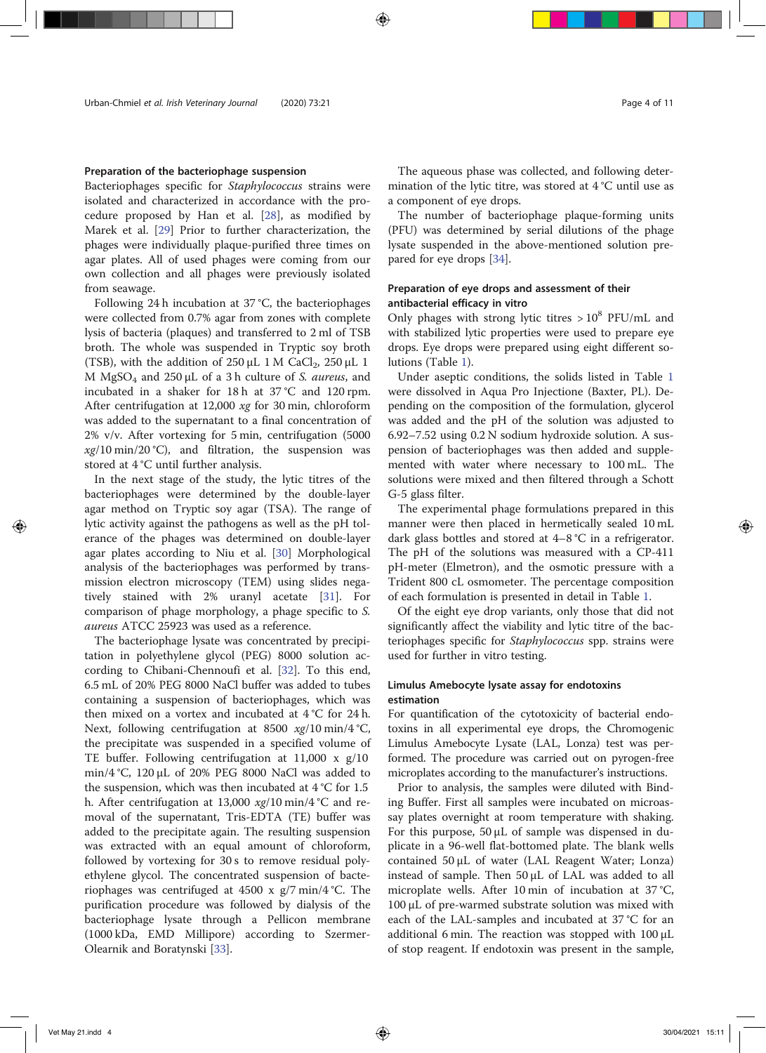#### Preparation of the bacteriophage suspension

Bacteriophages specific for Staphylococcus strains were isolated and characterized in accordance with the procedure proposed by Han et al. [28], as modified by Marek et al. [29] Prior to further characterization, the phages were individually plaque-purified three times on agar plates. All of used phages were coming from our own collection and all phages were previously isolated from seawage.

Following 24 h incubation at 37 °C, the bacteriophages were collected from 0.7% agar from zones with complete lysis of bacteria (plaques) and transferred to 2 ml of TSB broth. The whole was suspended in Tryptic soy broth (TSB), with the addition of  $250 \mu L$  1 M CaCl<sub>2</sub>,  $250 \mu L$  1 M MgSO<sub>4</sub> and 250 μL of a 3 h culture of *S. aureus*, and incubated in a shaker for 18 h at 37 °C and 120 rpm. After centrifugation at 12,000 xg for 30 min, chloroform was added to the supernatant to a final concentration of 2% v/v. After vortexing for 5 min, centrifugation (5000  $xg/10$  min/20 °C), and filtration, the suspension was stored at 4 °C until further analysis.

In the next stage of the study, the lytic titres of the bacteriophages were determined by the double-layer agar method on Tryptic soy agar (TSA). The range of lytic activity against the pathogens as well as the pH tolerance of the phages was determined on double-layer agar plates according to Niu et al. [30] Morphological analysis of the bacteriophages was performed by transmission electron microscopy (TEM) using slides negatively stained with 2% uranyl acetate [31]. For comparison of phage morphology, a phage specific to S. aureus ATCC 25923 was used as a reference.

The bacteriophage lysate was concentrated by precipitation in polyethylene glycol (PEG) 8000 solution according to Chibani-Chennoufi et al. [32]. To this end, 6.5 mL of 20% PEG 8000 NaCl buffer was added to tubes containing a suspension of bacteriophages, which was then mixed on a vortex and incubated at 4 °C for 24 h. Next, following centrifugation at 8500  $xg/10$  min/4 °C, the precipitate was suspended in a specified volume of TE buffer. Following centrifugation at 11,000 x g/10 min/4 °C, 120 μL of 20% PEG 8000 NaCl was added to the suspension, which was then incubated at  $4\,^{\circ}\mathrm{C}$  for  $1.5$ h. After centrifugation at 13,000 xg/10 min/4 °C and removal of the supernatant, Tris-EDTA (TE) buffer was added to the precipitate again. The resulting suspension was extracted with an equal amount of chloroform, followed by vortexing for 30 s to remove residual polyethylene glycol. The concentrated suspension of bacteriophages was centrifuged at 4500 x g/7 min/4 °C. The purification procedure was followed by dialysis of the bacteriophage lysate through a Pellicon membrane (1000 kDa, EMD Millipore) according to Szermer-Olearnik and Boratynski [33].

The aqueous phase was collected, and following determination of the lytic titre, was stored at 4 °C until use as a component of eye drops.

The number of bacteriophage plaque-forming units (PFU) was determined by serial dilutions of the phage lysate suspended in the above-mentioned solution prepared for eye drops [34].

#### Preparation of eye drops and assessment of their antibacterial efficacy in vitro

Only phages with strong lytic titres  $> 10^8$  PFU/mL and with stabilized lytic properties were used to prepare eye drops. Eye drops were prepared using eight different solutions (Table 1).

Under aseptic conditions, the solids listed in Table 1 were dissolved in Aqua Pro Injectione (Baxter, PL). Depending on the composition of the formulation, glycerol was added and the pH of the solution was adjusted to 6.92–7.52 using 0.2 N sodium hydroxide solution. A suspension of bacteriophages was then added and supplemented with water where necessary to 100 mL. The solutions were mixed and then filtered through a Schott G-5 glass filter.

The experimental phage formulations prepared in this manner were then placed in hermetically sealed 10 mL dark glass bottles and stored at 4–8 °C in a refrigerator. The pH of the solutions was measured with a CP-411 pH-meter (Elmetron), and the osmotic pressure with a Trident 800 cL osmometer. The percentage composition of each formulation is presented in detail in Table 1.

Of the eight eye drop variants, only those that did not significantly affect the viability and lytic titre of the bacteriophages specific for Staphylococcus spp. strains were used for further in vitro testing.

#### Limulus Amebocyte lysate assay for endotoxins estimation

For quantification of the cytotoxicity of bacterial endotoxins in all experimental eye drops, the Chromogenic Limulus Amebocyte Lysate (LAL, Lonza) test was performed. The procedure was carried out on pyrogen-free microplates according to the manufacturer's instructions.

Prior to analysis, the samples were diluted with Binding Buffer. First all samples were incubated on microassay plates overnight at room temperature with shaking. For this purpose,  $50 \mu L$  of sample was dispensed in duplicate in a 96-well flat-bottomed plate. The blank wells contained 50 μL of water (LAL Reagent Water; Lonza) instead of sample. Then 50 μL of LAL was added to all microplate wells. After 10 min of incubation at 37 °C, 100 μL of pre-warmed substrate solution was mixed with each of the LAL-samples and incubated at 37 °C for an additional 6 min. The reaction was stopped with 100 μL of stop reagent. If endotoxin was present in the sample,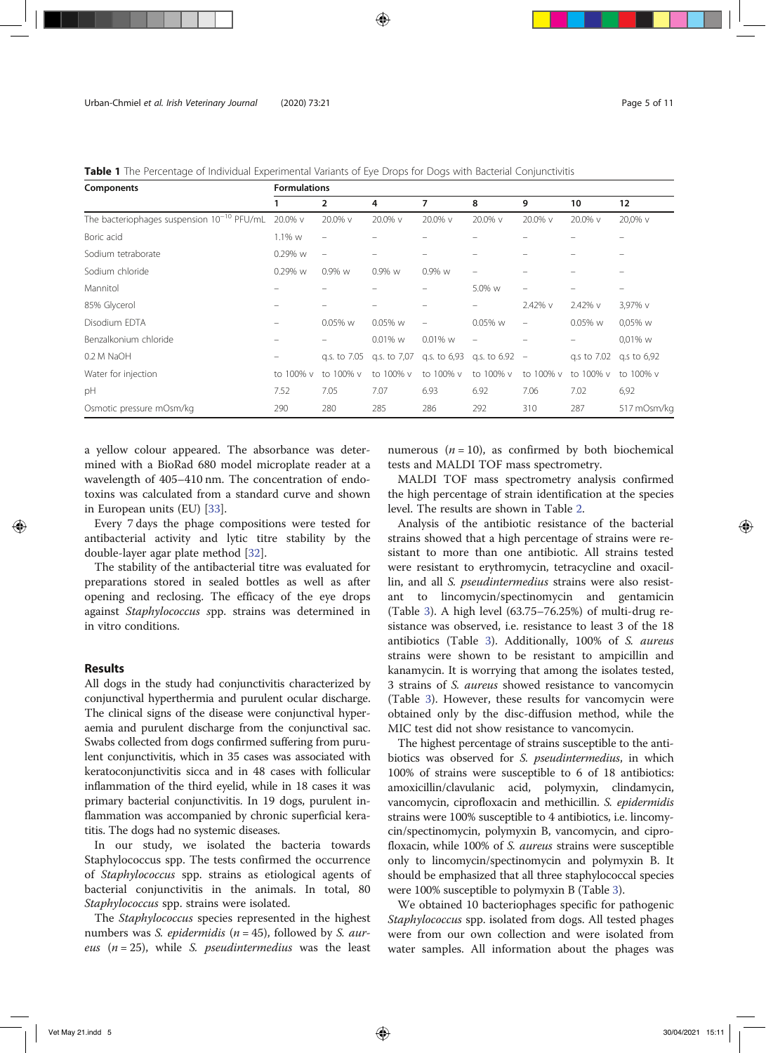| Components                                             | <b>Formulations</b>      |                          |              |              |                          |                   |             |             |  |
|--------------------------------------------------------|--------------------------|--------------------------|--------------|--------------|--------------------------|-------------------|-------------|-------------|--|
|                                                        |                          | $\overline{2}$           | 4            | 7            | 8                        | 9                 | 10          | 12          |  |
| The bacteriophages suspension 10 <sup>-10</sup> PFU/mL | 20.0% v                  | 20.0% v                  | 20.0% v      | 20.0% v      | 20.0% v                  | 20.0% v           | 20.0% v     | 20,0% v     |  |
| Boric acid                                             | 1.1% w                   | $\overline{\phantom{0}}$ |              |              |                          |                   |             |             |  |
| Sodium tetraborate                                     | 0.29% w                  | $\overline{\phantom{0}}$ |              |              |                          |                   |             |             |  |
| Sodium chloride                                        | 0.29% w                  | $0.9\%$ w                | $0.9\%$ w    | 0.9% w       | $\overline{\phantom{0}}$ |                   |             |             |  |
| Mannitol                                               |                          |                          |              |              | 5.0% w                   |                   |             |             |  |
| 85% Glycerol                                           |                          |                          |              |              | $\overline{\phantom{0}}$ | 2.42% v           | 2.42% v     | 3,97% v     |  |
| Disodium EDTA                                          | $\overline{\phantom{m}}$ | $0.05\%$ w               | 0.05% w      |              | $0.05\%$ w               | $\qquad \qquad -$ | 0.05% w     | 0,05% w     |  |
| Benzalkonium chloride                                  |                          |                          | $0.01\%$ w   | 0.01% w      | $\overline{\phantom{m}}$ |                   |             | 0,01% w     |  |
| 0.2 M NaOH                                             | $\equiv$                 | g.s. to 7.05             | g.s. to 7,07 | g.s. to 6,93 | g.s. to $6.92 -$         |                   | g.s to 7.02 | g.s to 6,92 |  |
| Water for injection                                    | to 100% v                | to 100% v                | to 100% v    | to 100% v    | to 100% v                | to 100% v         | to 100% v   | to 100% v   |  |
| pH                                                     | 7.52                     | 7.05                     | 7.07         | 6.93         | 6.92                     | 7.06              | 7.02        | 6,92        |  |
| Osmotic pressure mOsm/kg                               | 290                      | 280                      | 285          | 286          | 292                      | 310               | 287         | 517 mOsm/kg |  |

Table 1 The Percentage of Individual Experimental Variants of Eye Drops for Dogs with Bacterial Conjunctivitis

a yellow colour appeared. The absorbance was determined with a BioRad 680 model microplate reader at a wavelength of 405–410 nm. The concentration of endotoxins was calculated from a standard curve and shown in European units (EU) [33].

Every 7 days the phage compositions were tested for antibacterial activity and lytic titre stability by the double-layer agar plate method [32].

The stability of the antibacterial titre was evaluated for preparations stored in sealed bottles as well as after opening and reclosing. The efficacy of the eye drops against Staphylococcus spp. strains was determined in in vitro conditions.

#### Results

All dogs in the study had conjunctivitis characterized by conjunctival hyperthermia and purulent ocular discharge. The clinical signs of the disease were conjunctival hyperaemia and purulent discharge from the conjunctival sac. Swabs collected from dogs confirmed suffering from purulent conjunctivitis, which in 35 cases was associated with keratoconjunctivitis sicca and in 48 cases with follicular inflammation of the third eyelid, while in 18 cases it was primary bacterial conjunctivitis. In 19 dogs, purulent inflammation was accompanied by chronic superficial keratitis. The dogs had no systemic diseases.

In our study, we isolated the bacteria towards Staphylococcus spp. The tests confirmed the occurrence of Staphylococcus spp. strains as etiological agents of bacterial conjunctivitis in the animals. In total, 80 Staphylococcus spp. strains were isolated.

The Staphylococcus species represented in the highest numbers was *S. epidermidis* ( $n = 45$ ), followed by *S. aur*eus  $(n = 25)$ , while S. *pseudintermedius* was the least numerous ( $n = 10$ ), as confirmed by both biochemical tests and MALDI TOF mass spectrometry.

MALDI TOF mass spectrometry analysis confirmed the high percentage of strain identification at the species level. The results are shown in Table 2.

Analysis of the antibiotic resistance of the bacterial strains showed that a high percentage of strains were resistant to more than one antibiotic. All strains tested were resistant to erythromycin, tetracycline and oxacillin, and all S. pseudintermedius strains were also resistant to lincomycin/spectinomycin and gentamicin (Table 3). A high level (63.75–76.25%) of multi-drug resistance was observed, i.e. resistance to least 3 of the 18 antibiotics (Table 3). Additionally, 100% of S. aureus strains were shown to be resistant to ampicillin and kanamycin. It is worrying that among the isolates tested, 3 strains of S. aureus showed resistance to vancomycin (Table 3). However, these results for vancomycin were obtained only by the disc-diffusion method, while the MIC test did not show resistance to vancomycin.

The highest percentage of strains susceptible to the antibiotics was observed for S. pseudintermedius, in which 100% of strains were susceptible to 6 of 18 antibiotics: amoxicillin/clavulanic acid, polymyxin, clindamycin, vancomycin, ciprofloxacin and methicillin. S. epidermidis strains were 100% susceptible to 4 antibiotics, i.e. lincomycin/spectinomycin, polymyxin B, vancomycin, and ciprofloxacin, while 100% of S. aureus strains were susceptible only to lincomycin/spectinomycin and polymyxin B. It should be emphasized that all three staphylococcal species were 100% susceptible to polymyxin B (Table 3).

We obtained 10 bacteriophages specific for pathogenic Staphylococcus spp. isolated from dogs. All tested phages were from our own collection and were isolated from water samples. All information about the phages was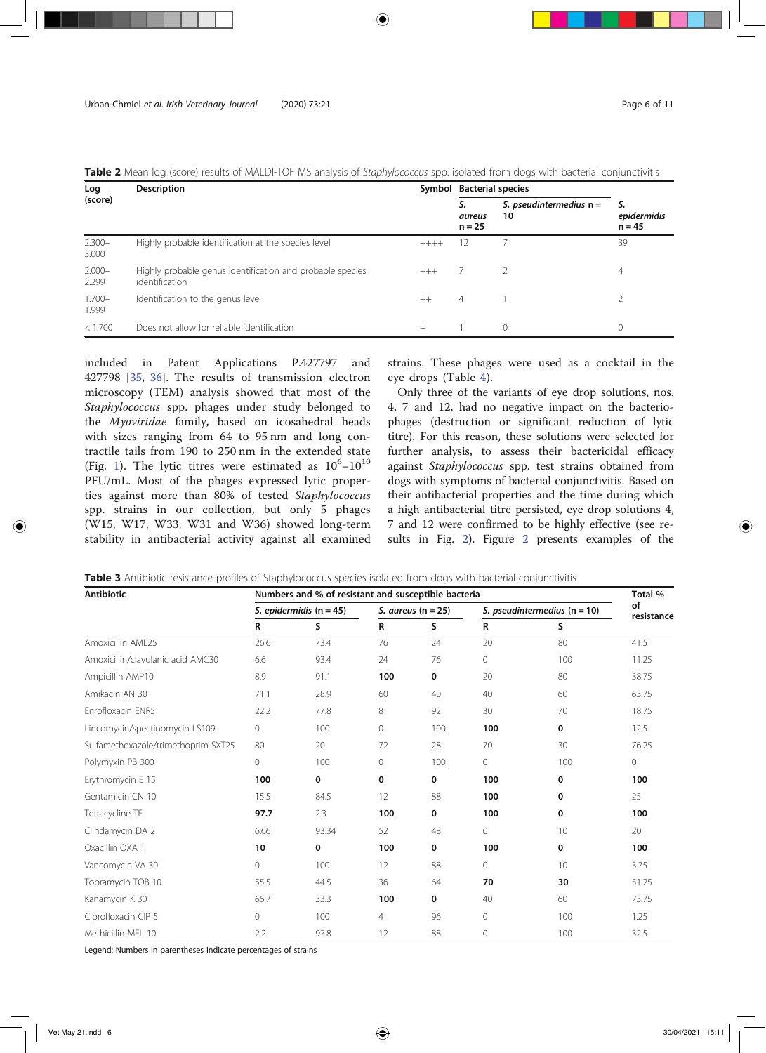| Log<br>(score)     | <b>Description</b>                                                          |         | Symbol Bacterial species |                                 |                               |
|--------------------|-----------------------------------------------------------------------------|---------|--------------------------|---------------------------------|-------------------------------|
|                    |                                                                             |         | S.<br>aureus<br>$n = 25$ | S. pseudintermedius $n =$<br>10 | S.<br>epidermidis<br>$n = 45$ |
| $2.300 -$<br>3.000 | Highly probable identification at the species level                         | $+++++$ | 12                       |                                 | 39                            |
| $2.000 -$<br>2.299 | Highly probable genus identification and probable species<br>identification | $+++$   |                          | $\mathcal{P}$                   | 4                             |
| $1.700 -$<br>1.999 | Identification to the genus level                                           | $++$    | 4                        |                                 |                               |
| < 1.700            | Does not allow for reliable identification                                  | $+$     |                          | $\Omega$                        | $\Omega$                      |

Table 2 Mean log (score) results of MAI DI-TOF MS analysis of *Staphylococcus* spp. isolated from dogs with bacterial conjunctivitis

included in Patent Applications P.427797 and 427798 [35, 36]. The results of transmission electron microscopy (TEM) analysis showed that most of the Staphylococcus spp. phages under study belonged to the Myoviridae family, based on icosahedral heads with sizes ranging from 64 to 95 nm and long contractile tails from 190 to 250 nm in the extended state (Fig. 1). The lytic titres were estimated as  $10^6 - 10^{10}$ PFU/mL. Most of the phages expressed lytic properties against more than 80% of tested Staphylococcus spp. strains in our collection, but only 5 phages (W15, W17, W33, W31 and W36) showed long-term stability in antibacterial activity against all examined strains. These phages were used as a cocktail in the eye drops (Table 4).

Only three of the variants of eye drop solutions, nos. 4, 7 and 12, had no negative impact on the bacteriophages (destruction or significant reduction of lytic titre). For this reason, these solutions were selected for further analysis, to assess their bactericidal efficacy against Staphylococcus spp. test strains obtained from dogs with symptoms of bacterial conjunctivitis. Based on their antibacterial properties and the time during which a high antibacterial titre persisted, eye drop solutions 4, 7 and 12 were confirmed to be highly effective (see results in Fig. 2). Figure 2 presents examples of the

|  |  |  |  | Table 3 Antibiotic resistance profiles of Staphylococcus species isolated from dogs with bacterial conjunctivitis |  |  |  |  |  |
|--|--|--|--|-------------------------------------------------------------------------------------------------------------------|--|--|--|--|--|
|--|--|--|--|-------------------------------------------------------------------------------------------------------------------|--|--|--|--|--|

| <b>Antibiotic</b>                   | Numbers and % of resistant and susceptible bacteria |       |                |                      |              |                                |             |  |
|-------------------------------------|-----------------------------------------------------|-------|----------------|----------------------|--------------|--------------------------------|-------------|--|
|                                     | S. epidermidis $(n = 45)$                           |       |                | S. aureus $(n = 25)$ |              | S. pseudintermedius $(n = 10)$ |             |  |
|                                     | R                                                   | s     | R              | s                    | R            | s                              | resistance  |  |
| Amoxicillin AML25                   | 26.6                                                | 73.4  | 76             | 24                   | 20           | 80                             | 41.5        |  |
| Amoxicillin/clavulanic acid AMC30   | 6.6                                                 | 93.4  | 24             | 76                   | $\mathbf{0}$ | 100                            | 11.25       |  |
| Ampicillin AMP10                    | 8.9                                                 | 91.1  | 100            | $\bf{0}$             | 20           | 80                             | 38.75       |  |
| Amikacin AN 30                      | 71.1                                                | 28.9  | 60             | 40                   | 40           | 60                             | 63.75       |  |
| Enrofloxacin ENR5                   | 22.2                                                | 77.8  | 8              | 92                   | 30           | 70                             | 18.75       |  |
| Lincomycin/spectinomycin LS109      | 0                                                   | 100   | 0              | 100                  | 100          | 0                              | 12.5        |  |
| Sulfamethoxazole/trimethoprim SXT25 | 80                                                  | 20    | 72             | 28                   | 70           | 30                             | 76.25       |  |
| Polymyxin PB 300                    | $\circ$                                             | 100   | 0              | 100                  | $\mathbf{0}$ | 100                            | $\mathbf 0$ |  |
| Erythromycin E 15                   | 100                                                 | 0     | 0              | 0                    | 100          | 0                              | 100         |  |
| Gentamicin CN 10                    | 15.5                                                | 84.5  | 12             | 88                   | 100          | 0                              | 25          |  |
| Tetracycline TE                     | 97.7                                                | 2.3   | 100            | 0                    | 100          | 0                              | 100         |  |
| Clindamycin DA 2                    | 6.66                                                | 93.34 | 52             | 48                   | $\Omega$     | 10                             | 20          |  |
| Oxacillin OXA 1                     | 10                                                  | 0     | 100            | 0                    | 100          | $\mathbf 0$                    | 100         |  |
| Vancomycin VA 30                    | $\circ$                                             | 100   | 12             | 88                   | $\circ$      | 10                             | 3.75        |  |
| Tobramycin TOB 10                   | 55.5                                                | 44.5  | 36             | 64                   | 70           | 30                             | 51.25       |  |
| Kanamycin K 30                      | 66.7                                                | 33.3  | 100            | 0                    | 40           | 60                             | 73.75       |  |
| Ciprofloxacin CIP 5                 | $\circ$                                             | 100   | $\overline{4}$ | 96                   | $\mathbf{0}$ | 100                            | 1.25        |  |
| Methicillin MEL 10                  | 2.2                                                 | 97.8  | 12             | 88                   | $\mathbf 0$  | 100                            | 32.5        |  |

Legend: Numbers in parentheses indicate percentages of strains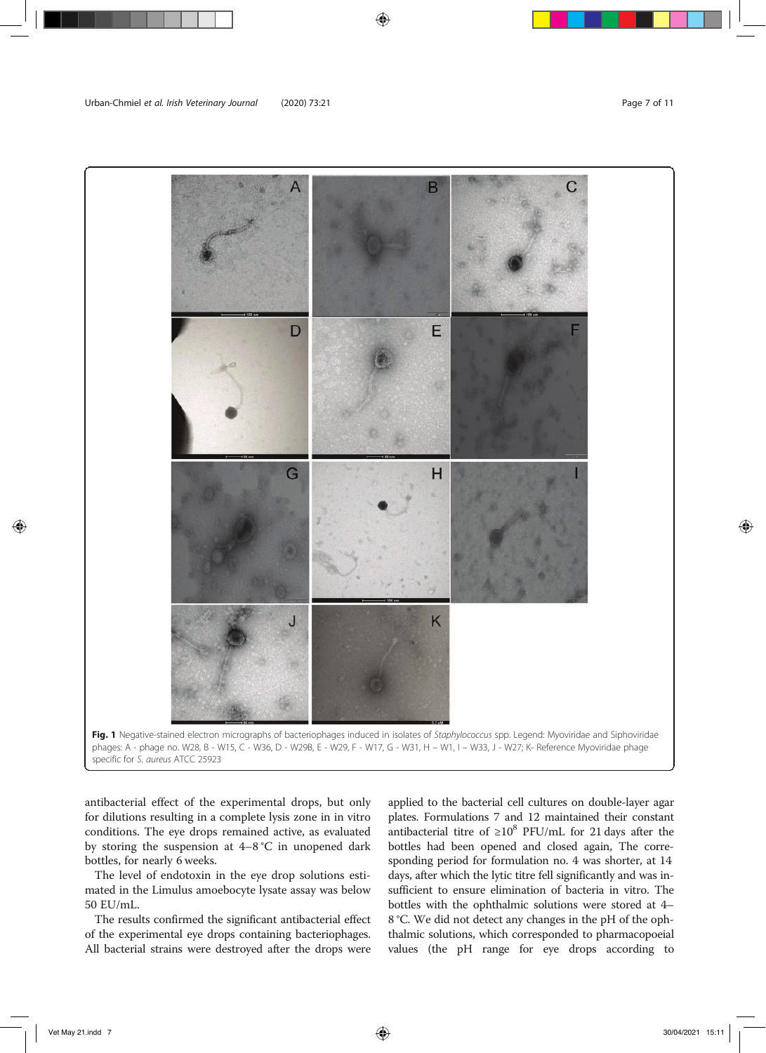

Fig. 1 Negative-stained electron micrographs of bacteriophages induced in isolates of Staphylococcus spp. Legend: Myoviridae and Siphoviridae phages: A - phage no. W28, B - W15, C - W36, D - W29B, E - W29, F - W17, G - W31, H - W1, I - W33, J - W27; K- Reference Myoviridae phage specific for S. aureus ATCC 25923

antibacterial effect of the experimental drops, but only for dilutions resulting in a complete lysis zone in in vitro conditions. The eye drops remained active, as evaluated by storing the suspension at 4–8 °C in unopened dark bottles, for nearly 6 weeks.

The level of endotoxin in the eye drop solutions estimated in the Limulus amoebocyte lysate assay was below 50 EU/mL.

The results confirmed the significant antibacterial effect of the experimental eye drops containing bacteriophages. All bacterial strains were destroyed after the drops were

applied to the bacterial cell cultures on double-layer agar plates. Formulations 7 and 12 maintained their constant antibacterial titre of  $\geq 10^8$  PFU/mL for 21 days after the bottles had been opened and closed again, The corresponding period for formulation no. 4 was shorter, at 14 days, after which the lytic titre fell significantly and was insufficient to ensure elimination of bacteria in vitro. The bottles with the ophthalmic solutions were stored at 4– 8 °C. We did not detect any changes in the pH of the ophthalmic solutions, which corresponded to pharmacopoeial values (the pH range for eye drops according to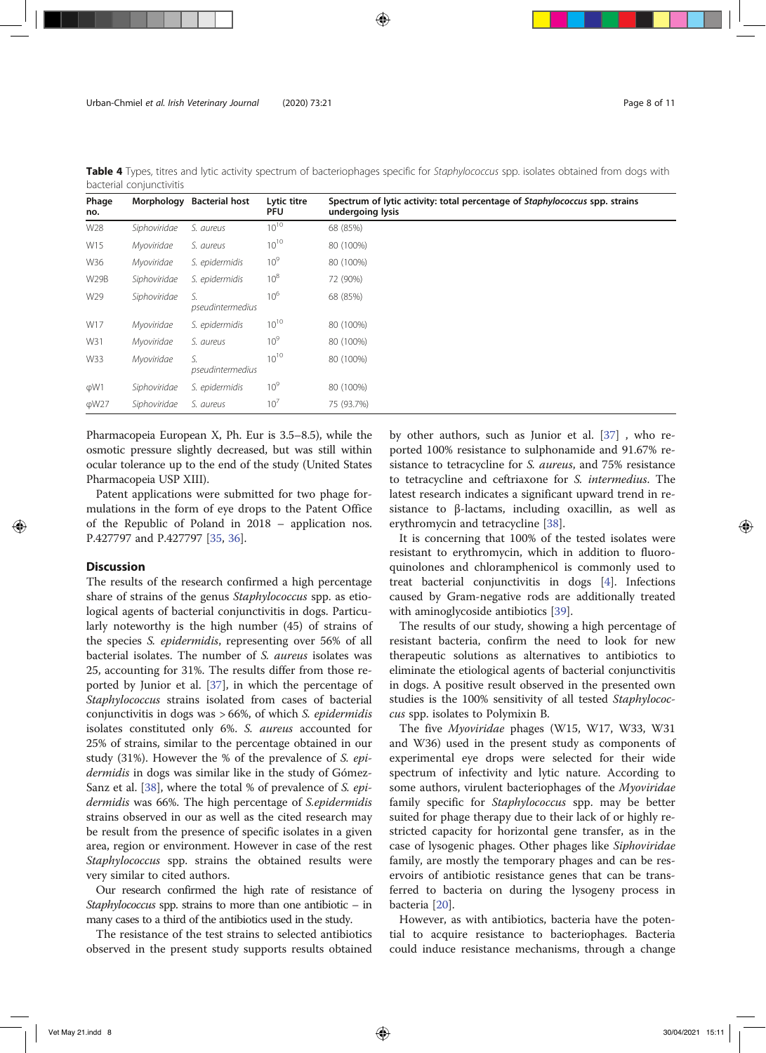| Phage<br>no. | Morphology   | <b>Bacterial host</b>  | Lytic titre<br><b>PFU</b> | Spectrum of lytic activity: total percentage of Staphylococcus spp. strains<br>undergoing lysis |
|--------------|--------------|------------------------|---------------------------|-------------------------------------------------------------------------------------------------|
| W28          | Siphoviridae | S. aureus              | $10^{10}$                 | 68 (85%)                                                                                        |
| W15          | Myoviridae   | S. aureus              | $10^{10}$                 | 80 (100%)                                                                                       |
| W36          | Myoviridae   | S. epidermidis         | 10 <sup>9</sup>           | 80 (100%)                                                                                       |
| W29B         | Siphoviridae | S. epidermidis         | $10^8$                    | 72 (90%)                                                                                        |
| W29          | Siphoviridae | S.<br>pseudintermedius | 10 <sup>6</sup>           | 68 (85%)                                                                                        |
| W17          | Myoviridae   | S. epidermidis         | $10^{10}$                 | 80 (100%)                                                                                       |
| W31          | Myoviridae   | S. aureus              | 10 <sup>9</sup>           | 80 (100%)                                                                                       |
| W33          | Myoviridae   | S.<br>pseudintermedius | $10^{10}$                 | 80 (100%)                                                                                       |
| $\varphi W1$ | Siphoviridae | S. epidermidis         | 10 <sup>9</sup>           | 80 (100%)                                                                                       |
| $\omega W27$ | Siphoviridae | S. aureus              | 10 <sup>7</sup>           | 75 (93.7%)                                                                                      |

Table 4 Types, titres and lytic activity spectrum of bacteriophages specific for Staphylococcus spp. isolates obtained from dogs with bacterial conjunctivitis

Pharmacopeia European X, Ph. Eur is 3.5–8.5), while the osmotic pressure slightly decreased, but was still within ocular tolerance up to the end of the study (United States Pharmacopeia USP XIII).

Patent applications were submitted for two phage formulations in the form of eye drops to the Patent Office of the Republic of Poland in 2018 – application nos. P.427797 and P.427797 [35, 36].

#### **Discussion**

The results of the research confirmed a high percentage share of strains of the genus Staphylococcus spp. as etiological agents of bacterial conjunctivitis in dogs. Particularly noteworthy is the high number (45) of strains of the species S. epidermidis, representing over 56% of all bacterial isolates. The number of S. aureus isolates was 25, accounting for 31%. The results differ from those reported by Junior et al. [37], in which the percentage of Staphylococcus strains isolated from cases of bacterial conjunctivitis in dogs was > 66%, of which S. epidermidis isolates constituted only 6%. S. aureus accounted for 25% of strains, similar to the percentage obtained in our study (31%). However the % of the prevalence of S. epidermidis in dogs was similar like in the study of Gómez-Sanz et al. [38], where the total % of prevalence of S. epidermidis was 66%. The high percentage of S.epidermidis strains observed in our as well as the cited research may be result from the presence of specific isolates in a given area, region or environment. However in case of the rest Staphylococcus spp. strains the obtained results were very similar to cited authors.

Our research confirmed the high rate of resistance of Staphylococcus spp. strains to more than one antibiotic – in many cases to a third of the antibiotics used in the study.

The resistance of the test strains to selected antibiotics observed in the present study supports results obtained

by other authors, such as Junior et al. [37] , who reported 100% resistance to sulphonamide and 91.67% resistance to tetracycline for S. aureus, and 75% resistance to tetracycline and ceftriaxone for S. intermedius. The latest research indicates a significant upward trend in resistance to β-lactams, including oxacillin, as well as erythromycin and tetracycline [38].

It is concerning that 100% of the tested isolates were resistant to erythromycin, which in addition to fluoroquinolones and chloramphenicol is commonly used to treat bacterial conjunctivitis in dogs [4]. Infections caused by Gram-negative rods are additionally treated with aminoglycoside antibiotics [39].

The results of our study, showing a high percentage of resistant bacteria, confirm the need to look for new therapeutic solutions as alternatives to antibiotics to eliminate the etiological agents of bacterial conjunctivitis in dogs. A positive result observed in the presented own studies is the 100% sensitivity of all tested Staphylococcus spp. isolates to Polymixin B.

The five Myoviridae phages (W15, W17, W33, W31 and W36) used in the present study as components of experimental eye drops were selected for their wide spectrum of infectivity and lytic nature. According to some authors, virulent bacteriophages of the Myoviridae family specific for Staphylococcus spp. may be better suited for phage therapy due to their lack of or highly restricted capacity for horizontal gene transfer, as in the case of lysogenic phages. Other phages like Siphoviridae family, are mostly the temporary phages and can be reservoirs of antibiotic resistance genes that can be transferred to bacteria on during the lysogeny process in bacteria [20].

However, as with antibiotics, bacteria have the potential to acquire resistance to bacteriophages. Bacteria could induce resistance mechanisms, through a change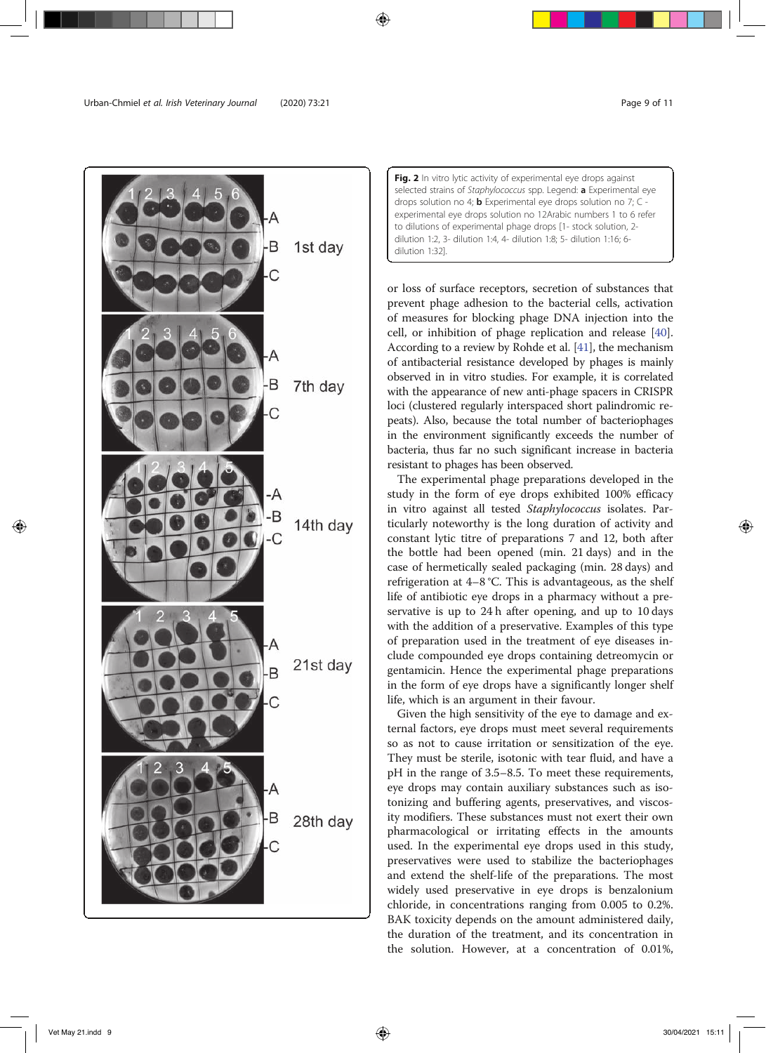



Fig. 2 In vitro lytic activity of experimental eye drops against selected strains of Staphylococcus spp. Legend: a Experimental eye drops solution no 4; **b** Experimental eye drops solution no 7; C experimental eye drops solution no 12Arabic numbers 1 to 6 refer to dilutions of experimental phage drops [1- stock solution, 2 dilution 1:2, 3- dilution 1:4, 4- dilution 1:8; 5- dilution 1:16; 6 dilution 1:32].

or loss of surface receptors, secretion of substances that prevent phage adhesion to the bacterial cells, activation of measures for blocking phage DNA injection into the cell, or inhibition of phage replication and release [40]. According to a review by Rohde et al. [41], the mechanism of antibacterial resistance developed by phages is mainly observed in in vitro studies. For example, it is correlated with the appearance of new anti-phage spacers in CRISPR loci (clustered regularly interspaced short palindromic repeats). Also, because the total number of bacteriophages in the environment significantly exceeds the number of bacteria, thus far no such significant increase in bacteria resistant to phages has been observed.

The experimental phage preparations developed in the study in the form of eye drops exhibited 100% efficacy in vitro against all tested Staphylococcus isolates. Particularly noteworthy is the long duration of activity and constant lytic titre of preparations 7 and 12, both after the bottle had been opened (min. 21 days) and in the case of hermetically sealed packaging (min. 28 days) and refrigeration at 4–8 °C. This is advantageous, as the shelf life of antibiotic eye drops in a pharmacy without a preservative is up to 24 h after opening, and up to 10 days with the addition of a preservative. Examples of this type of preparation used in the treatment of eye diseases include compounded eye drops containing detreomycin or gentamicin. Hence the experimental phage preparations in the form of eye drops have a significantly longer shelf life, which is an argument in their favour.

Given the high sensitivity of the eye to damage and external factors, eye drops must meet several requirements so as not to cause irritation or sensitization of the eye. They must be sterile, isotonic with tear fluid, and have a pH in the range of 3.5–8.5. To meet these requirements, eye drops may contain auxiliary substances such as isotonizing and buffering agents, preservatives, and viscosity modifiers. These substances must not exert their own pharmacological or irritating effects in the amounts used. In the experimental eye drops used in this study, preservatives were used to stabilize the bacteriophages and extend the shelf-life of the preparations. The most widely used preservative in eye drops is benzalonium chloride, in concentrations ranging from 0.005 to 0.2%. BAK toxicity depends on the amount administered daily, the duration of the treatment, and its concentration in the solution. However, at a concentration of 0.01%,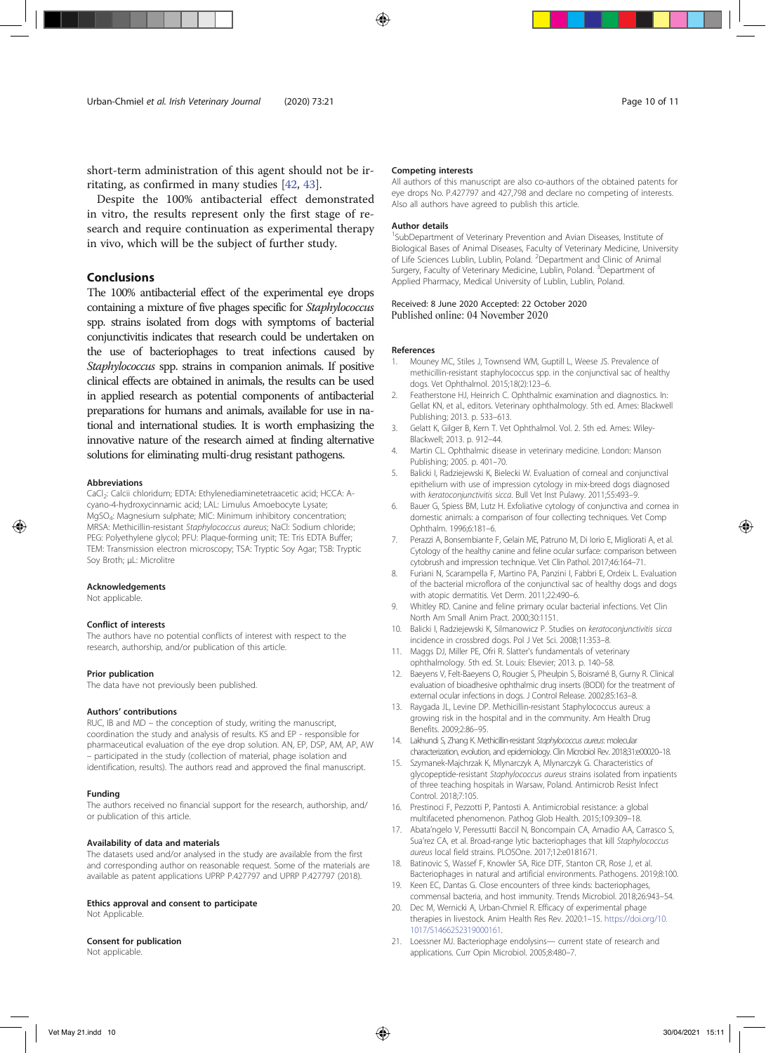short-term administration of this agent should not be irritating, as confirmed in many studies [42, 43].

Despite the 100% antibacterial effect demonstrated in vitro, the results represent only the first stage of research and require continuation as experimental therapy in vivo, which will be the subject of further study.

#### Conclusions

The 100% antibacterial effect of the experimental eye drops containing a mixture of five phages specific for Staphylococcus spp. strains isolated from dogs with symptoms of bacterial conjunctivitis indicates that research could be undertaken on the use of bacteriophages to treat infections caused by Staphylococcus spp. strains in companion animals. If positive clinical effects are obtained in animals, the results can be used in applied research as potential components of antibacterial preparations for humans and animals, available for use in national and international studies. It is worth emphasizing the innovative nature of the research aimed at finding alternative solutions for eliminating multi-drug resistant pathogens.

#### Abbreviations

CaCl2: Calcii chloridum; EDTA: Ethylenediaminetetraacetic acid; HCCA: Acyano-4-hydroxycinnamic acid; LAL: Limulus Amoebocyte Lysate; MgSO4: Magnesium sulphate; MIC: Minimum inhibitory concentration; MRSA: Methicillin-resistant Staphylococcus aureus; NaCl: Sodium chloride; PEG: Polyethylene glycol; PFU: Plaque-forming unit; TE: Tris EDTA Buffer; TEM: Transmission electron microscopy; TSA: Tryptic Soy Agar; TSB: Tryptic Soy Broth; μL: Microlitre

#### Acknowledgements

Not applicable.

#### Conflict of interests

The authors have no potential conflicts of interest with respect to the research, authorship, and/or publication of this article.

#### Prior publication

The data have not previously been published.

#### Authors' contributions

RUC, IB and MD – the conception of study, writing the manuscript, coordination the study and analysis of results. KS and EP - responsible for pharmaceutical evaluation of the eye drop solution. AN, EP, DSP, AM, AP, AW – participated in the study (collection of material, phage isolation and identification, results). The authors read and approved the final manuscript.

#### Funding

The authors received no financial support for the research, authorship, and/ or publication of this article.

#### Availability of data and materials

The datasets used and/or analysed in the study are available from the first and corresponding author on reasonable request. Some of the materials are available as patent applications UPRP P.427797 and UPRP P.427797 (2018).

#### Ethics approval and consent to participate

Not Applicable.

#### Consent for publication

Not applicable.

#### Competing interests

All authors of this manuscript are also co-authors of the obtained patents for eye drops No. P.427797 and 427,798 and declare no competing of interests. Also all authors have agreed to publish this article.

#### Author details

<sup>1</sup>SubDepartment of Veterinary Prevention and Avian Diseases, Institute of Biological Bases of Animal Diseases, Faculty of Veterinary Medicine, University of Life Sciences Lublin, Lublin, Poland. <sup>2</sup> Department and Clinic of Animal Surgery, Faculty of Veterinary Medicine, Lublin, Poland. <sup>3</sup>Department of Applied Pharmacy, Medical University of Lublin, Lublin, Poland.

## Received: 8 June 2020 Accepted: 22 October 2020

#### References

- 1. Mouney MC, Stiles J, Townsend WM, Guptill L, Weese JS. Prevalence of methicillin-resistant staphylococcus spp. in the conjunctival sac of healthy dogs. Vet Ophthalmol. 2015;18(2):123–6.
- 2. Featherstone HJ, Heinrich C. Ophthalmic examination and diagnostics. In: Gellat KN, et al., editors. Veterinary ophthalmology. 5th ed. Ames: Blackwell Publishing; 2013. p. 533–613.
- 3. Gelatt K, Gilger B, Kern T. Vet Ophthalmol. Vol. 2. 5th ed. Ames: Wiley-Blackwell; 2013. p. 912–44.
- 4. Martin CL. Ophthalmic disease in veterinary medicine. London: Manson Publishing; 2005. p. 401–70.
- 5. Balicki I, Radziejewski K, Bielecki W. Evaluation of corneal and conjunctival epithelium with use of impression cytology in mix-breed dogs diagnosed with keratoconjunctivitis sicca. Bull Vet Inst Pulawy. 2011;55:493–9.
- 6. Bauer G, Spiess BM, Lutz H. Exfoliative cytology of conjunctiva and cornea in domestic animals: a comparison of four collecting techniques. Vet Comp Ophthalm. 1996;6:181–6.
- 7. Perazzi A, Bonsembiante F, Gelain ME, Patruno M, Di Iorio E, Migliorati A, et al. Cytology of the healthy canine and feline ocular surface: comparison between cytobrush and impression technique. Vet Clin Pathol. 2017;46:164–71.
- 8. Furiani N, Scarampella F, Martino PA, Panzini I, Fabbri E, Ordeix L. Evaluation of the bacterial microflora of the conjunctival sac of healthy dogs and dogs with atopic dermatitis. Vet Derm. 2011;22:490–6.
- 9. Whitley RD. Canine and feline primary ocular bacterial infections. Vet Clin North Am Small Anim Pract. 2000;30:1151.
- 10. Balicki I, Radziejewski K, Silmanowicz P. Studies on keratoconjunctivitis sicca incidence in crossbred dogs. Pol J Vet Sci. 2008;11:353–8.
- 11. Maggs DJ, Miller PE, Ofri R. Slatter's fundamentals of veterinary ophthalmology. 5th ed. St. Louis: Elsevier; 2013. p. 140–58.
- 12. Baeyens V, Felt-Baeyens O, Rougier S, Pheulpin S, Boisramé B, Gurny R. Clinical evaluation of bioadhesive ophthalmic drug inserts (BODI) for the treatment of external ocular infections in dogs. J Control Release. 2002;85:163–8.
- 13. Raygada JL, Levine DP. Methicillin-resistant Staphylococcus aureus: a growing risk in the hospital and in the community. Am Health Drug Benefits. 2009;2:86–95.
- 14. Lakhundi S, Zhang K. Methicillin-resistant Staphylococcus aureus: molecular characterization, evolution, and epidemiology. Clin Microbiol Rev. 2018;31:e00020–18.
- 15. Szymanek-Majchrzak K, Mlynarczyk A, Mlynarczyk G. Characteristics of glycopeptide-resistant Staphylococcus aureus strains isolated from inpatients of three teaching hospitals in Warsaw, Poland. Antimicrob Resist Infect Control. 2018;7:105.
- 16. Prestinoci F, Pezzotti P, Pantosti A. Antimicrobial resistance: a global multifaceted phenomenon. Pathog Glob Health. 2015;109:309–18.
- 17. Abata'ngelo V, Peressutti Baccil N, Boncompain CA, Amadio AA, Carrasco S, Sua'rez CA, et al. Broad-range lytic bacteriophages that kill Staphylococcus aureus local field strains. PLOSOne. 2017;12:e0181671.
- 18. Batinovic S, Wassef F, Knowler SA, Rice DTF, Stanton CR, Rose J, et al. Bacteriophages in natural and artificial environments. Pathogens. 2019;8:100.
- 19. Keen EC, Dantas G. Close encounters of three kinds: bacteriophages, commensal bacteria, and host immunity. Trends Microbiol. 2018;26:943–54.
- 20. Dec M, Wernicki A, Urban-Chmiel R. Efficacy of experimental phage therapies in livestock. Anim Health Res Rev. 2020:1–15. https://doi.org/10. 1017/S1466252319000161.
- 21. Loessner MJ. Bacteriophage endolysins— current state of research and applications. Curr Opin Microbiol. 2005;8:480–7.